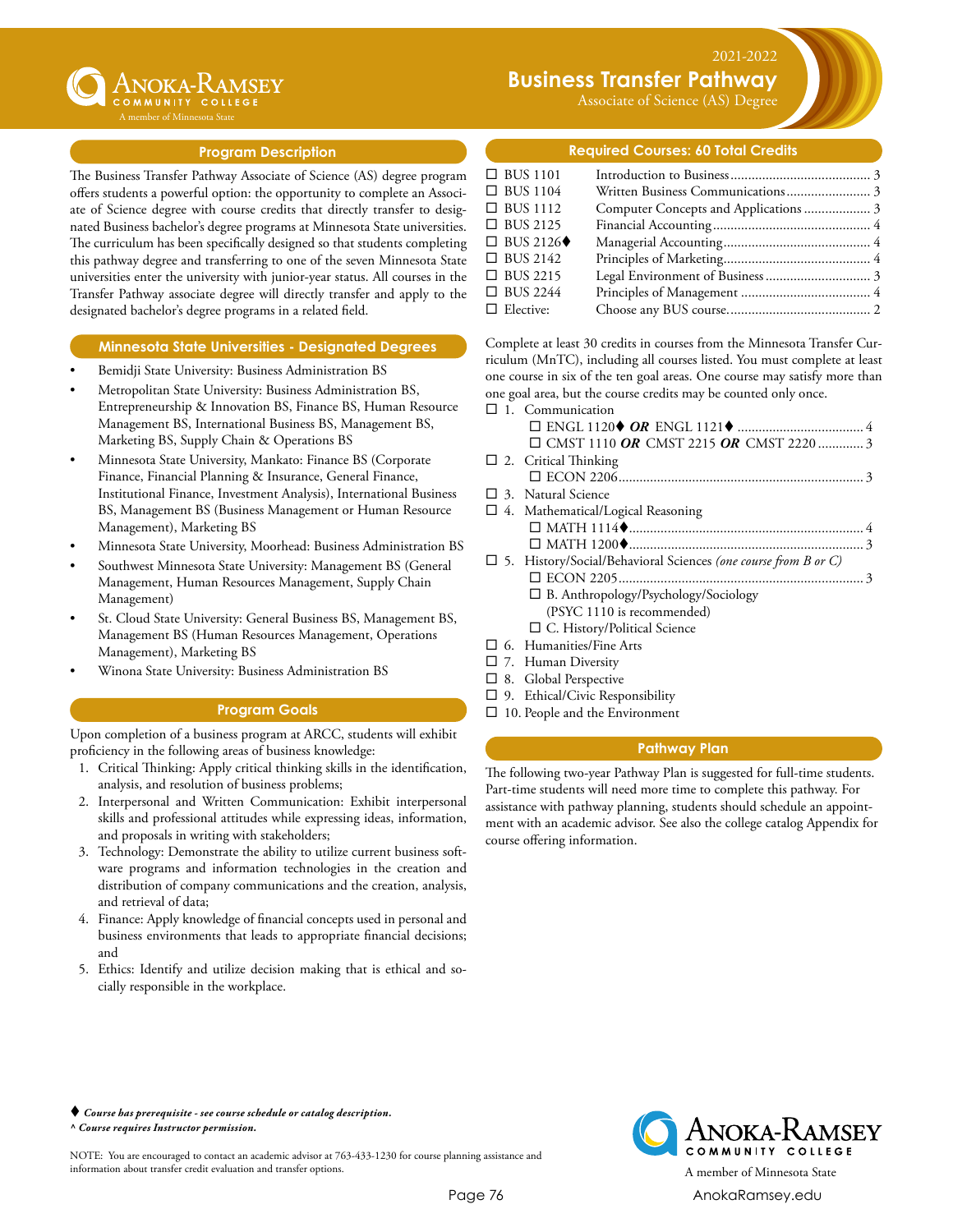

# **Business Transfer Pathway**

Associate of Science (AS) Degree

2021-2022

### **Program Description**

The Business Transfer Pathway Associate of Science (AS) degree program offers students a powerful option: the opportunity to complete an Associate of Science degree with course credits that directly transfer to designated Business bachelor's degree programs at Minnesota State universities. The curriculum has been specifically designed so that students completing this pathway degree and transferring to one of the seven Minnesota State universities enter the university with junior-year status. All courses in the Transfer Pathway associate degree will directly transfer and apply to the designated bachelor's degree programs in a related field.

### **Minnesota State Universities - Designated Degrees**

- Bemidji State University: Business Administration BS
- Metropolitan State University: Business Administration BS, Entrepreneurship & Innovation BS, Finance BS, Human Resource Management BS, International Business BS, Management BS, Marketing BS, Supply Chain & Operations BS
- Minnesota State University, Mankato: Finance BS (Corporate Finance, Financial Planning & Insurance, General Finance, Institutional Finance, Investment Analysis), International Business BS, Management BS (Business Management or Human Resource Management), Marketing BS
- Minnesota State University, Moorhead: Business Administration BS
- Southwest Minnesota State University: Management BS (General Management, Human Resources Management, Supply Chain Management)
- St. Cloud State University: General Business BS, Management BS, Management BS (Human Resources Management, Operations Management), Marketing BS
- Winona State University: Business Administration BS

### **Program Goals**

Upon completion of a business program at ARCC, students will exhibit proficiency in the following areas of business knowledge:

- 1. Critical Thinking: Apply critical thinking skills in the identification, analysis, and resolution of business problems;
- 2. Interpersonal and Written Communication: Exhibit interpersonal skills and professional attitudes while expressing ideas, information, and proposals in writing with stakeholders;
- 3. Technology: Demonstrate the ability to utilize current business software programs and information technologies in the creation and distribution of company communications and the creation, analysis, and retrieval of data;
- 4. Finance: Apply knowledge of financial concepts used in personal and business environments that leads to appropriate financial decisions; and
- 5. Ethics: Identify and utilize decision making that is ethical and socially responsible in the workplace.

### **Required Courses: 60 Total Credits**

| $\Box$ BUS 1101  |  |
|------------------|--|
| $\Box$ BUS 1104  |  |
| $\Box$ BUS 1112  |  |
| $\Box$ BUS 2125  |  |
| $\Box$ BUS 2126  |  |
| $\Box$ BUS 2142  |  |
| $\Box$ BUS 2215  |  |
| $\Box$ BUS 2244  |  |
| $\Box$ Elective: |  |

Complete at least 30 credits in courses from the Minnesota Transfer Curriculum (MnTC), including all courses listed. You must complete at least one course in six of the ten goal areas. One course may satisfy more than one goal area, but the course credits may be counted only once.

| $\Box$ 1. Communication                                               |  |
|-----------------------------------------------------------------------|--|
|                                                                       |  |
| $\Box$ CMST 1110 OR CMST 2215 OR CMST 2220 3                          |  |
| $\Box$ 2. Critical Thinking                                           |  |
|                                                                       |  |
| $\Box$ 3. Natural Science                                             |  |
| $\Box$ 4. Mathematical/Logical Reasoning                              |  |
|                                                                       |  |
|                                                                       |  |
| $\Box$ 5. History/Social/Behavioral Sciences (one course from B or C) |  |
|                                                                       |  |
| $\Box$ B. Anthropology/Psychology/Sociology                           |  |
| (PSYC 1110 is recommended)                                            |  |
| $\Box$ C. History/Political Science                                   |  |
| 6. Humanities/Fine Arts                                               |  |

- $\square$  7. Human Diversity
- $\square$  8. Global Perspective
- 
- $\square$  9. Ethical/Civic Responsibility
- $\square$  10. People and the Environment

### **Pathway Plan**

The following two-year Pathway Plan is suggested for full-time students. Part-time students will need more time to complete this pathway. For assistance with pathway planning, students should schedule an appointment with an academic advisor. See also the college catalog Appendix for course offering information.

#### *Course has prerequisite - see course schedule or catalog description. ^ Course requires Instructor permission.*

NOTE: You are encouraged to contact an academic advisor at 763-433-1230 for course planning assistance and information about transfer credit evaluation and transfer options. A member of Minnesota State